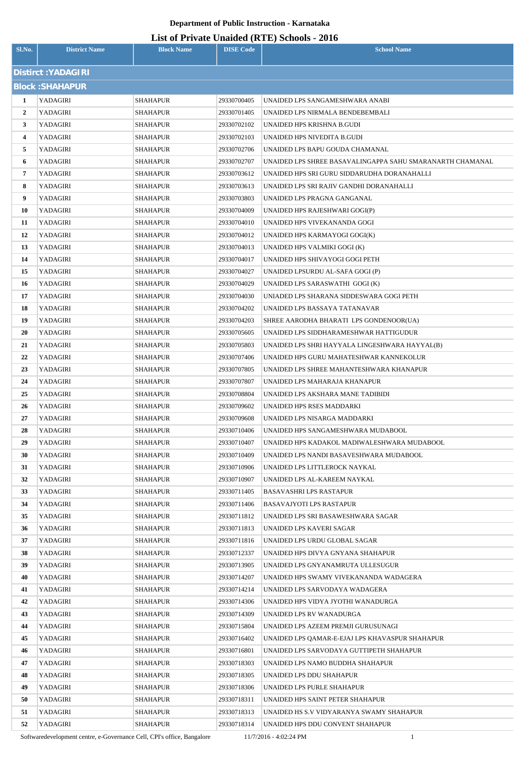| List of Private Unaided (RTE) Schools - 2016 |
|----------------------------------------------|
|                                              |

| Sl.No.         | <b>District Name</b>   | <b>Block Name</b>                  | <b>DISE Code</b>           | <b>School Name</b>                                                          |  |  |
|----------------|------------------------|------------------------------------|----------------------------|-----------------------------------------------------------------------------|--|--|
|                | Distirct: YADAGIRI     |                                    |                            |                                                                             |  |  |
|                | <b>Block: SHAHAPUR</b> |                                    |                            |                                                                             |  |  |
| 1              | YADAGIRI               | <b>SHAHAPUR</b>                    | 29330700405                | UNAIDED LPS SANGAMESHWARA ANABI                                             |  |  |
| $\overline{2}$ | <b>YADAGIRI</b>        | SHAHAPUR                           | 29330701405                | UNAIDED LPS NIRMALA BENDEBEMBALI                                            |  |  |
| 3              | YADAGIRI               | SHAHAPUR                           | 29330702102                | UNAIDED HPS KRISHNA B.GUDI                                                  |  |  |
| 4              | YADAGIRI               | SHAHAPUR                           | 29330702103                | UNAIDED HPS NIVEDITA B.GUDI                                                 |  |  |
| 5              | <b>YADAGIRI</b>        | SHAHAPUR                           | 29330702706                | UNAIDED LPS BAPU GOUDA CHAMANAL                                             |  |  |
| 6              | YADAGIRI               | SHAHAPUR                           | 29330702707                | UNAIDED LPS SHREE BASAVALINGAPPA SAHU SMARANARTH CHAMANAL                   |  |  |
| 7              | YADAGIRI               | SHAHAPUR                           | 29330703612                | UNAIDED HPS SRI GURU SIDDARUDHA DORANAHALLI                                 |  |  |
| 8              | YADAGIRI               | SHAHAPUR                           | 29330703613                | UNAIDED LPS SRI RAJIV GANDHI DORANAHALLI                                    |  |  |
| 9              | YADAGIRI               | SHAHAPUR                           | 29330703803                | UNAIDED LPS PRAGNA GANGANAL                                                 |  |  |
| 10             | YADAGIRI               | SHAHAPUR                           | 29330704009                | UNAIDED HPS RAJESHWARI GOGI(P)                                              |  |  |
| 11             | YADAGIRI               | SHAHAPUR                           | 29330704010                | UNAIDED HPS VIVEKANANDA GOGI                                                |  |  |
| 12             | YADAGIRI               | SHAHAPUR                           | 29330704012                | UNAIDED HPS KARMAYOGI GOGI(K)                                               |  |  |
| 13             | YADAGIRI               | SHAHAPUR                           | 29330704013                | UNAIDED HPS VALMIKI GOGI (K)                                                |  |  |
| 14             | YADAGIRI               | SHAHAPUR                           | 29330704017                | UNAIDED HPS SHIVAYOGI GOGI PETH                                             |  |  |
| 15             | YADAGIRI               | SHAHAPUR                           | 29330704027                | UNAIDED LPSURDU AL-SAFA GOGI (P)                                            |  |  |
| 16             | YADAGIRI               | <b>SHAHAPUR</b>                    | 29330704029                | UNAIDED LPS SARASWATHI GOGI (K)                                             |  |  |
| 17             | YADAGIRI               | <b>SHAHAPUR</b>                    | 29330704030                | UNIADED LPS SHARANA SIDDESWARA GOGI PETH                                    |  |  |
| 18             | YADAGIRI               | SHAHAPUR                           | 29330704202                | UNAIDED LPS BASSAYA TATANAVAR                                               |  |  |
| 19             | YADAGIRI               | <b>SHAHAPUR</b>                    | 29330704203                | SHREE AARODHA BHARATI LPS GONDENOOR(UA)                                     |  |  |
| 20             | YADAGIRI               | SHAHAPUR                           | 29330705605                | UNAIDED LPS SIDDHARAMESHWAR HATTIGUDUR                                      |  |  |
| 21             | YADAGIRI               | SHAHAPUR                           | 29330705803                | UNAIDED LPS SHRI HAYYALA LINGESHWARA HAYYAL(B)                              |  |  |
| 22             | <b>YADAGIRI</b>        | SHAHAPUR                           | 29330707406                | UNAIDED HPS GURU MAHATESHWAR KANNEKOLUR                                     |  |  |
| 23             | YADAGIRI               | SHAHAPUR                           | 29330707805                | UNAIDED LPS SHREE MAHANTESHWARA KHANAPUR                                    |  |  |
| 24             | YADAGIRI               | SHAHAPUR                           | 29330707807                | UNAIDED LPS MAHARAJA KHANAPUR                                               |  |  |
| 25             | YADAGIRI               | <b>SHAHAPUR</b>                    | 29330708804                | UNAIDED LPS AKSHARA MANE TADIBIDI                                           |  |  |
| 26             | YADAGIRI               | SHAHAPUR                           | 29330709602                | UNAIDED HPS RSES MADDARKI                                                   |  |  |
| 27             | <b>YADAGIRI</b>        | <b>SHAHAPUR</b>                    | 29330709608                | UNAIDED LPS NISARGA MADDARKI                                                |  |  |
| 28             | YADAGIRI               | SHAHAPUR                           | 29330710406                | UNAIDED HPS SANGAMESHWARA MUDABOOL                                          |  |  |
| 29             | YADAGIRI               | <b>SHAHAPUR</b>                    | 29330710407                | UNAIDED HPS KADAKOL MADIWALESHWARA MUDABOOL                                 |  |  |
| 30             | YADAGIRI               | <b>SHAHAPUR</b>                    | 29330710409                | UNAIDED LPS NANDI BASAVESHWARA MUDABOOL                                     |  |  |
| 31             | <b>YADAGIRI</b>        | <b>SHAHAPUR</b>                    | 29330710906                | UNAIDED LPS LITTLEROCK NAYKAL                                               |  |  |
| 32             | YADAGIRI               | <b>SHAHAPUR</b>                    | 29330710907                | UNAIDED LPS AL-KAREEM NAYKAL                                                |  |  |
| 33             | YADAGIRI               | SHAHAPUR                           | 29330711405                | BASAVASHRI LPS RASTAPUR                                                     |  |  |
| 34             | YADAGIRI               | <b>SHAHAPUR</b>                    | 29330711406                | <b>BASAVAJYOTI LPS RASTAPUR</b>                                             |  |  |
| 35             | YADAGIRI               | SHAHAPUR                           | 29330711812                | UNAIDED LPS SRI BASAWESHWARA SAGAR                                          |  |  |
| 36             | YADAGIRI               | SHAHAPUR                           | 29330711813                | UNAIDED LPS KAVERI SAGAR                                                    |  |  |
| 37             | YADAGIRI               | <b>SHAHAPUR</b>                    | 29330711816                | UNAIDED LPS URDU GLOBAL SAGAR                                               |  |  |
| 38             | YADAGIRI               | SHAHAPUR                           | 29330712337                | UNAIDED HPS DIVYA GNYANA SHAHAPUR                                           |  |  |
| 39<br>40       | YADAGIRI<br>YADAGIRI   | <b>SHAHAPUR</b><br><b>SHAHAPUR</b> | 29330713905<br>29330714207 | UNAIDED LPS GNYANAMRUTA ULLESUGUR<br>UNAIDED HPS SWAMY VIVEKANANDA WADAGERA |  |  |
| 41             | YADAGIRI               | <b>SHAHAPUR</b>                    | 29330714214                | UNAIDED LPS SARVODAYA WADAGERA                                              |  |  |
| 42             | YADAGIRI               | <b>SHAHAPUR</b>                    | 29330714306                | UNAIDED HPS VIDYA JYOTHI WANADURGA                                          |  |  |
| 43             | YADAGIRI               | <b>SHAHAPUR</b>                    | 29330714309                | UNAIDED LPS RV WANADURGA                                                    |  |  |
| 44             | YADAGIRI               | <b>SHAHAPUR</b>                    | 29330715804                | UNAIDED LPS AZEEM PREMJI GURUSUNAGI                                         |  |  |
| 45             | YADAGIRI               | SHAHAPUR                           | 29330716402                | UNAIDED LPS QAMAR-E-EJAJ LPS KHAVASPUR SHAHAPUR                             |  |  |
| 46             | YADAGIRI               | <b>SHAHAPUR</b>                    | 29330716801                | UNAIDED LPS SARVODAYA GUTTIPETH SHAHAPUR                                    |  |  |
| 47             | YADAGIRI               | SHAHAPUR                           | 29330718303                | UNAIDED LPS NAMO BUDDHA SHAHAPUR                                            |  |  |
| 48             | YADAGIRI               | <b>SHAHAPUR</b>                    | 29330718305                | UNAIDED LPS DDU SHAHAPUR                                                    |  |  |
| 49             | YADAGIRI               | <b>SHAHAPUR</b>                    | 29330718306                | UNAIDED LPS PURLE SHAHAPUR                                                  |  |  |
| 50             | YADAGIRI               | <b>SHAHAPUR</b>                    | 29330718311                | UNAIDED HPS SAINT PETER SHAHAPUR                                            |  |  |
| 51             | YADAGIRI               | <b>SHAHAPUR</b>                    | 29330718313                | UNAIDED HS S.V VIDYARANYA SWAMY SHAHAPUR                                    |  |  |
| 52             | YADAGIRI               | <b>SHAHAPUR</b>                    | 29330718314                | UNAIDED HPS DDU CONVENT SHAHAPUR                                            |  |  |

Softwaredevelopment centre, e-Governance Cell, CPI's office, Bangalore 11/7/2016 - 4:02:24 PM 1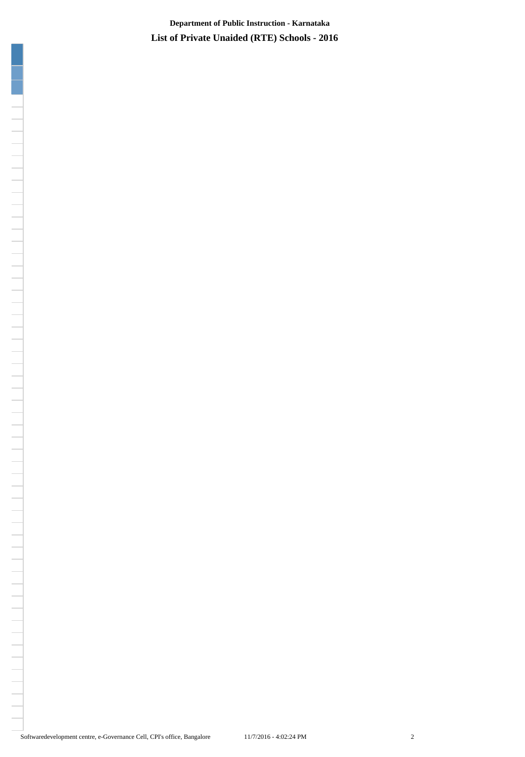**List of Private Unaided (RTE) Schools - 2016 Department of Public Instruction - Karnataka**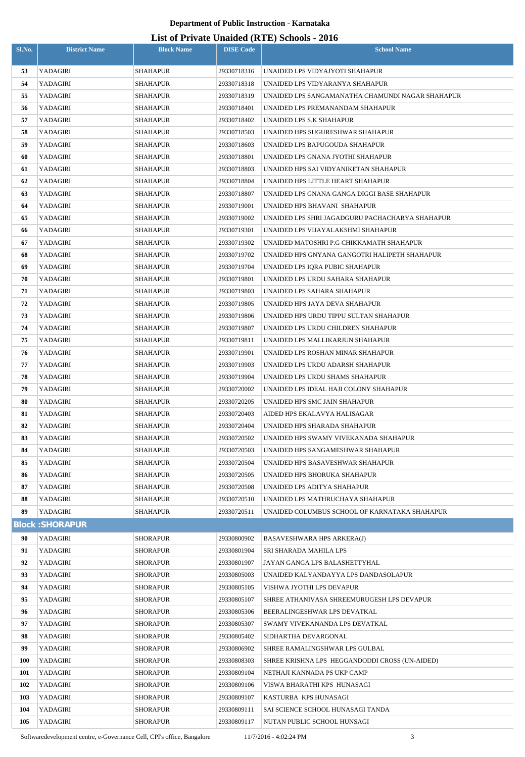| Sl.No.   | <b>District Name</b>   | <b>Block Name</b>    | <b>DISE Code</b>           | $m$ $m$ $m$ $n$ $m$ $m$ $m$ $m$ $m$ $m$<br><b>School Name</b>      |  |
|----------|------------------------|----------------------|----------------------------|--------------------------------------------------------------------|--|
|          |                        |                      |                            |                                                                    |  |
| 53<br>54 | YADAGIRI<br>YADAGIRI   | <b>SHAHAPUR</b>      | 29330718316                | UNAIDED LPS VIDYAJYOTI SHAHAPUR<br>UNAIDED LPS VIDYARANYA SHAHAPUR |  |
| 55       | YADAGIRI               | SHAHAPUR<br>SHAHAPUR | 29330718318<br>29330718319 | UNAIDED LPS SANGAMANATHA CHAMUNDI NAGAR SHAHAPUR                   |  |
| 56       | YADAGIRI               | SHAHAPUR             | 29330718401                |                                                                    |  |
| 57       | YADAGIRI               | SHAHAPUR             | 29330718402                | UNAIDED LPS PREMANANDAM SHAHAPUR<br>UNAIDED LPS S.K SHAHAPUR       |  |
| 58       | YADAGIRI               | SHAHAPUR             | 29330718503                | UNAIDED HPS SUGURESHWAR SHAHAPUR                                   |  |
| 59       | YADAGIRI               | <b>SHAHAPUR</b>      | 29330718603                | UNAIDED LPS BAPUGOUDA SHAHAPUR                                     |  |
| 60       | YADAGIRI               | SHAHAPUR             | 29330718801                | UNAIDED LPS GNANA JYOTHI SHAHAPUR                                  |  |
| 61       | YADAGIRI               | SHAHAPUR             | 29330718803                | UNAIDED HPS SAI VIDYANIKETAN SHAHAPUR                              |  |
| 62       | YADAGIRI               | <b>SHAHAPUR</b>      | 29330718804                | UNAIDED HPS LITTLE HEART SHAHAPUR                                  |  |
| 63       | YADAGIRI               | <b>SHAHAPUR</b>      | 29330718807                | UNAIDED LPS GNANA GANGA DIGGI BASE SHAHAPUR                        |  |
| 64       | YADAGIRI               | SHAHAPUR             | 29330719001                | UNAIDED HPS BHAVANI SHAHAPUR                                       |  |
| 65       | YADAGIRI               | <b>SHAHAPUR</b>      | 29330719002                | UNAIDED LPS SHRI JAGADGURU PACHACHARYA SHAHAPUR                    |  |
| 66       | YADAGIRI               | <b>SHAHAPUR</b>      | 29330719301                | UNAIDED LPS VIJAYALAKSHMI SHAHAPUR                                 |  |
| 67       | YADAGIRI               | <b>SHAHAPUR</b>      | 29330719302                | UNAIDED MATOSHRI P.G CHIKKAMATH SHAHAPUR                           |  |
| 68       | YADAGIRI               | SHAHAPUR             | 29330719702                | UNAIDED HPS GNYANA GANGOTRI HALIPETH SHAHAPUR                      |  |
| 69       | YADAGIRI               | SHAHAPUR             | 29330719704                | UNAIDED LPS IQRA PUBIC SHAHAPUR                                    |  |
| 70       | YADAGIRI               | SHAHAPUR             | 29330719801                | UNAIDED LPS URDU SAHARA SHAHAPUR                                   |  |
| 71       | YADAGIRI               | SHAHAPUR             | 29330719803                | UNAIDED LPS SAHARA SHAHAPUR                                        |  |
| 72       | YADAGIRI               | SHAHAPUR             | 29330719805                | UNAIDED HPS JAYA DEVA SHAHAPUR                                     |  |
| 73       | YADAGIRI               | SHAHAPUR             | 29330719806                | UNAIDED HPS URDU TIPPU SULTAN SHAHAPUR                             |  |
| 74       | YADAGIRI               | SHAHAPUR             | 29330719807                | UNAIDED LPS URDU CHILDREN SHAHAPUR                                 |  |
| 75       | YADAGIRI               | SHAHAPUR             | 29330719811                | UNAIDED LPS MALLIKARJUN SHAHAPUR                                   |  |
| 76       | YADAGIRI               | SHAHAPUR             | 29330719901                | UNAIDED LPS ROSHAN MINAR SHAHAPUR                                  |  |
| 77       | YADAGIRI               | SHAHAPUR             | 29330719903                | UNAIDED LPS URDU ADARSH SHAHAPUR                                   |  |
| 78       | YADAGIRI               | SHAHAPUR             | 29330719904                | UNAIDED LPS URDU SHAMS SHAHAPUR                                    |  |
| 79       | YADAGIRI               | <b>SHAHAPUR</b>      | 29330720002                | UNAIDED LPS IDEAL HAJI COLONY SHAHAPUR                             |  |
| 80       | YADAGIRI               | SHAHAPUR             | 29330720205                | UNAIDED HPS SMC JAIN SHAHAPUR                                      |  |
| 81       | YADAGIRI               | SHAHAPUR             | 29330720403                | AIDED HPS EKALAVYA HALISAGAR                                       |  |
| 82       | YADAGIRI               | <b>SHAHAPUR</b>      | 29330720404                | UNAIDED HPS SHARADA SHAHAPUR                                       |  |
| 83       | YADAGIRI               | SHAHAPUR             | 29330720502                | UNAIDED HPS SWAMY VIVEKANADA SHAHAPUR                              |  |
| 84       | YADAGIRI               | SHAHAPUR             | 29330720503                | UNAIDED HPS SANGAMESHWAR SHAHAPUR                                  |  |
| 85       | YADAGIRI               | SHAHAPUR             | 29330720504                | UNAIDED HPS BASAVESHWAR SHAHAPUR                                   |  |
| 86       | YADAGIRI               | <b>SHAHAPUR</b>      | 29330720505                | UNAIDED HPS BHORUKA SHAHAPUR                                       |  |
| 87       | YADAGIRI               | SHAHAPUR             | 29330720508                | UNAIDED LPS ADITYA SHAHAPUR                                        |  |
| 88       | YADAGIRI               | <b>SHAHAPUR</b>      | 29330720510                | UNAIDED LPS MATHRUCHAYA SHAHAPUR                                   |  |
| 89       | YADAGIRI               | <b>SHAHAPUR</b>      | 29330720511                | UNAIDED COLUMBUS SCHOOL OF KARNATAKA SHAHAPUR                      |  |
|          | <b>Block: SHORAPUR</b> |                      |                            |                                                                    |  |
| 90       | YADAGIRI               | <b>SHORAPUR</b>      | 29330800902                | BASAVESHWARA HPS ARKERA(J)                                         |  |
| 91       | YADAGIRI               | <b>SHORAPUR</b>      | 29330801904                | SRI SHARADA MAHILA LPS                                             |  |
| 92       | YADAGIRI               | <b>SHORAPUR</b>      | 29330801907                | JAYAN GANGA LPS BALASHETTYHAL                                      |  |
| 93       | YADAGIRI               | <b>SHORAPUR</b>      | 29330805003                | UNAIDED KALYANDAYYA LPS DANDASOLAPUR                               |  |
| 94       | YADAGIRI               | <b>SHORAPUR</b>      | 29330805105                | VISHWA JYOTHI LPS DEVAPUR                                          |  |
| 95       | YADAGIRI               | <b>SHORAPUR</b>      | 29330805107                | SHREE ATHANIVASA SHREEMURUGESH LPS DEVAPUR                         |  |
| 96       | YADAGIRI               | <b>SHORAPUR</b>      | 29330805306                | BEERALINGESHWAR LPS DEVATKAL                                       |  |
| 97       | YADAGIRI               | <b>SHORAPUR</b>      | 29330805307                | SWAMY VIVEKANANDA LPS DEVATKAL                                     |  |
| 98       | YADAGIRI               | <b>SHORAPUR</b>      | 29330805402                | SIDHARTHA DEVARGONAL                                               |  |
| 99       | YADAGIRI               | <b>SHORAPUR</b>      | 29330806902                | SHREE RAMALINGSHWAR LPS GULBAL                                     |  |
| 100      | YADAGIRI               | <b>SHORAPUR</b>      | 29330808303                | SHREE KRISHNA LPS HEGGANDODDI CROSS (UN-AIDED)                     |  |
| 101      | YADAGIRI               | <b>SHORAPUR</b>      | 29330809104                | NETHAJI KANNADA PS UKP CAMP                                        |  |
| 102      | YADAGIRI               | <b>SHORAPUR</b>      | 29330809106                | VISWA BHARATHI KPS HUNASAGI                                        |  |
| 103      | YADAGIRI               | <b>SHORAPUR</b>      | 29330809107                | KASTURBA KPS HUNASAGI                                              |  |
| 104      | YADAGIRI               | <b>SHORAPUR</b>      | 29330809111                | SAI SCIENCE SCHOOL HUNASAGI TANDA                                  |  |
| 105      | YADAGIRI               | <b>SHORAPUR</b>      | 29330809117                | NUTAN PUBLIC SCHOOL HUNSAGI                                        |  |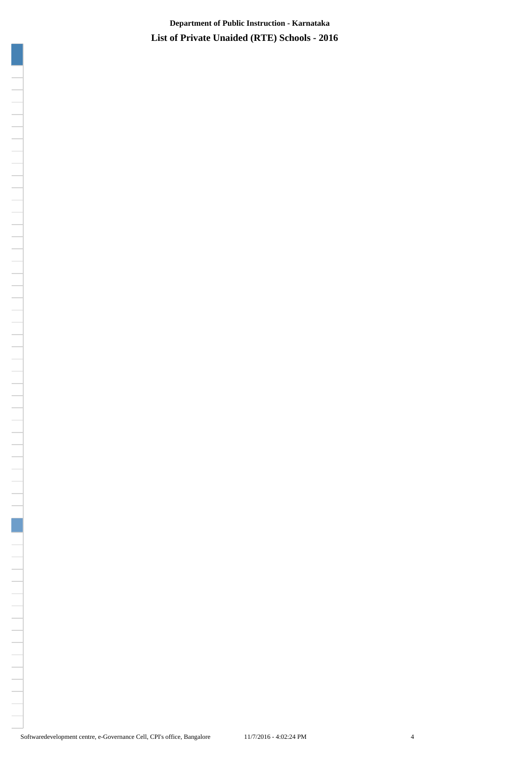**List of Private Unaided (RTE) Schools - 2016 Department of Public Instruction - Karnataka**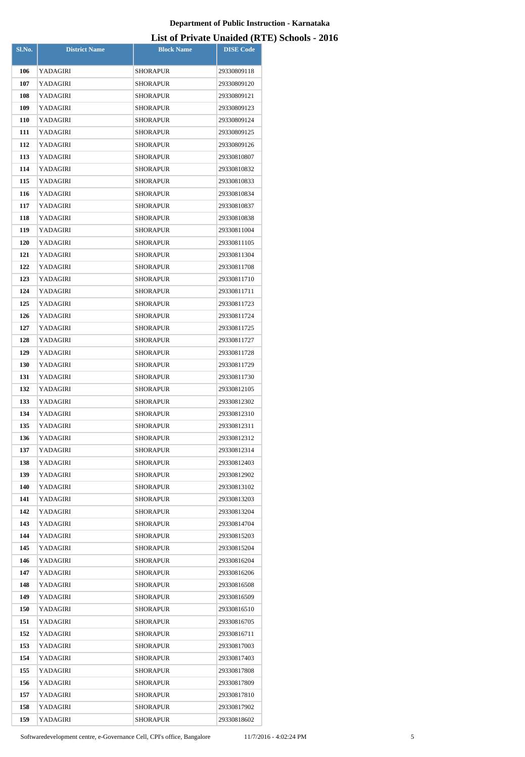| Sl.No.     | <b>District Name</b> | <b>Block Name</b> | <b>DISE</b> Code |
|------------|----------------------|-------------------|------------------|
|            |                      |                   |                  |
| 106        | YADAGIRI             | <b>SHORAPUR</b>   | 29330809118      |
| 107        | YADAGIRI             | SHORAPUR          | 29330809120      |
| 108        | YADAGIRI             | SHORAPUR          | 29330809121      |
| 109        | YADAGIRI             | SHORAPUR          | 29330809123      |
| <b>110</b> | YADAGIRI             | SHORAPUR          | 29330809124      |
| 111        | YADAGIRI             | SHORAPUR          | 29330809125      |
| 112        | YADAGIRI             | SHORAPUR          | 29330809126      |
| 113        | YADAGIRI             | SHORAPUR          | 29330810807      |
| 114        | YADAGIRI             | SHORAPUR          | 29330810832      |
| 115        | YADAGIRI             | SHORAPUR          | 29330810833      |
| 116        | YADAGIRI             | SHORAPUR          | 29330810834      |
| 117        | YADAGIRI             | <b>SHORAPUR</b>   | 29330810837      |
| 118        | YADAGIRI             | SHORAPUR          | 29330810838      |
| 119        | YADAGIRI             | SHORAPUR          | 29330811004      |
| <b>120</b> | YADAGIRI             | SHORAPUR          | 29330811105      |
| 121        | YADAGIRI             | <b>SHORAPUR</b>   | 29330811304      |
| 122        | YADAGIRI             | SHORAPUR          | 29330811708      |
| 123        | YADAGIRI             | SHORAPUR          | 29330811710      |
| 124        | YADAGIRI             | SHORAPUR          | 29330811711      |
| 125        | YADAGIRI             | SHORAPUR          | 29330811723      |
| 126        | YADAGIRI             | SHORAPUR          | 29330811724      |
| 127        | YADAGIRI             | SHORAPUR          | 29330811725      |
| 128        | YADAGIRI             | SHORAPUR          | 29330811727      |
| 129        | YADAGIRI             | SHORAPUR          | 29330811728      |
| <b>130</b> | YADAGIRI             | <b>SHORAPUR</b>   | 29330811729      |
| 131        | YADAGIRI             | SHORAPUR          | 29330811730      |
| 132        | YADAGIRI             | SHORAPUR          | 29330812105      |
| 133        | YADAGIRI             | SHORAPUR          | 29330812302      |
| 134        | YADAGIRI             | SHORAPUR          | 29330812310      |
| 135        | YADAGIRI             | <b>SHORAPUR</b>   | 29330812311      |
| 136        | YADAGIRI             | SHORAPUR          | 29330812312      |
| 137        | YADAGIRI             | SHORAPUR          | 29330812314      |
| 138        | YADAGIRI             | SHORAPUR          | 29330812403      |
| 139        | YADAGIRI             | SHORAPUR          | 29330812902      |
| 140        | YADAGIRI             | SHORAPUR          | 29330813102      |
| 141        | YADAGIRI             | <b>SHORAPUR</b>   | 29330813203      |
| 142        | YADAGIRI             | SHORAPUR          | 29330813204      |
| 143        | YADAGIRI             | SHORAPUR          | 29330814704      |
| 144        | YADAGIRI             | SHORAPUR          | 29330815203      |
| 145        | YADAGIRI             | SHORAPUR          | 29330815204      |
| 146        | YADAGIRI             | SHORAPUR          | 29330816204      |
| 147        | YADAGIRI             | SHORAPUR          | 29330816206      |
| 148        | YADAGIRI             | SHORAPUR          | 29330816508      |
| 149        | YADAGIRI             | SHORAPUR          | 29330816509      |
| <b>150</b> | YADAGIRI             | SHORAPUR          | 29330816510      |
| 151        | YADAGIRI             | SHORAPUR          | 29330816705      |
| 152        | YADAGIRI             | SHORAPUR          | 29330816711      |
| 153        | YADAGIRI             | SHORAPUR          | 29330817003      |
| 154        | YADAGIRI             | SHORAPUR          | 29330817403      |
| 155        | YADAGIRI             | SHORAPUR          | 29330817808      |
| 156        | YADAGIRI             | SHORAPUR          | 29330817809      |
| 157        | YADAGIRI             | SHORAPUR          | 29330817810      |
| 158        | YADAGIRI             | SHORAPUR          | 29330817902      |
| 159        | YADAGIRI             | SHORAPUR          | 29330818602      |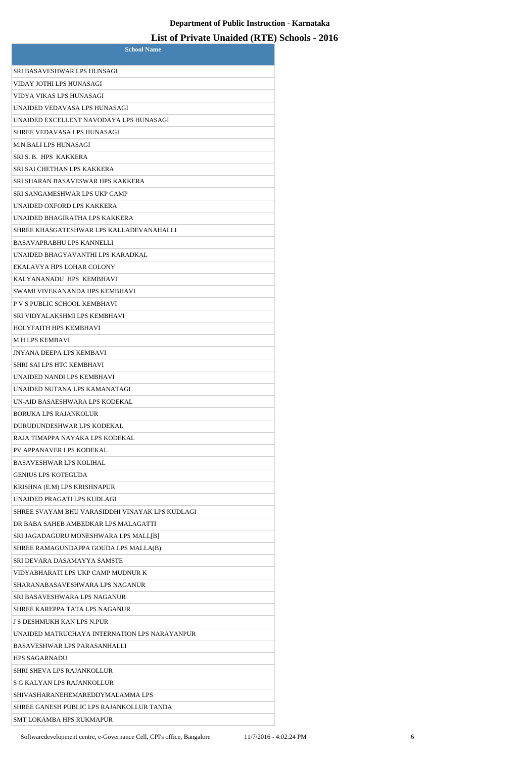| <b>School Name</b>                                                             |
|--------------------------------------------------------------------------------|
| SRI BASAVESHWAR LPS HUNSAGI                                                    |
| VIDAY JOTHI LPS HUNASAGI                                                       |
| VIDYA VIKAS LPS HUNASAGI                                                       |
| UNAIDED VEDAVASA LPS HUNASAGI                                                  |
| UNAIDED EXCELLENT NAVODAYA LPS HUNASAGI                                        |
| SHREE VEDAVASA LPS HUNASAGI                                                    |
| M.N.BALI LPS HUNASAGI                                                          |
| SRI S. B. HPS KAKKERA                                                          |
| SRI SAI CHETHAN LPS KAKKERA                                                    |
| SRI SHARAN BASAVESWAR HPS KAKKERA                                              |
| SRI SANGAMESHWAR LPS UKP CAMP                                                  |
| UNAIDED OXFORD LPS KAKKERA                                                     |
| UNAIDED BHAGIRATHA LPS KAKKERA                                                 |
| SHREE KHASGATESHWAR LPS KALLADEVANAHALLI                                       |
| <b>BASAVAPRABHU LPS KANNELLI</b>                                               |
| UNAIDED BHAGYAVANTHI LPS KARADKAL                                              |
| EKALAVYA HPS LOHAR COLONY                                                      |
| KALYANANADU HPS KEMBHAVI                                                       |
| SWAMI VIVEKANANDA HPS KEMBHAVI                                                 |
| P V S PUBLIC SCHOOL KEMBHAVI                                                   |
| SRI VIDYALAKSHMI LPS KEMBHAVI                                                  |
| HOLYFAITH HPS KEMBHAVI                                                         |
| <b>MHLPS KEMBAVI</b>                                                           |
| <b>JNYANA DEEPA LPS KEMBAVI</b>                                                |
| SHRI SAI LPS HTC KEMBHAVI                                                      |
| UNAIDED NANDI LPS KEMBHAVI                                                     |
|                                                                                |
| UNAIDED NUTANA LPS KAMANATAGI                                                  |
| UN-AID BASAESHWARA LPS KODEKAL<br><b>BORUKA LPS RAJANKOLUR</b>                 |
|                                                                                |
| DURUDUNDESHWAR LPS KODEKAL<br>RAJA TIMAPPA NAYAKA LPS KODEKAL                  |
| PV APPANAVER LPS KODEKAL                                                       |
| <b>BASAVESHWAR LPS KOLIHAL</b>                                                 |
| <b>GENIUS LPS KOTEGUDA</b>                                                     |
|                                                                                |
| KRISHNA (E.M) LPS KRISHNAPUR                                                   |
| UNAIDED PRAGATI LPS KUDLAGI<br>SHREE SVAYAM BHU VARASIDDHI VINAYAK LPS KUDLAGI |
|                                                                                |
| DR BABA SAHEB AMBEDKAR LPS MALAGATTI                                           |
| SRI JAGADAGURU MONESHWARA LPS MALL[B]                                          |
| SHREE RAMAGUNDAPPA GOUDA LPS MALLA(B)                                          |
| SRI DEVARA DASAMAYYA SAMSTE                                                    |
| VIDYABHARATI LPS UKP CAMP MUDNUR K                                             |
| SHARANABASAVESHWARA LPS NAGANUR<br>SRI BASAVESHWARA LPS NAGANUR                |
|                                                                                |
| SHREE KAREPPA TATA LPS NAGANUR                                                 |
| J S DESHMUKH KAN LPS N.PUR                                                     |
| UNAIDED MATRUCHAYA INTERNATION LPS NARAYANPUR                                  |
| <b>BASAVESHWAR LPS PARASANHALLI</b>                                            |
| <b>HPS SAGARNADU</b>                                                           |
| <b>SHRI SHEVA LPS RAJANKOLLUR</b>                                              |
| S G KALYAN LPS RAJANKOLLUR                                                     |
| SHIVASHARANEHEMAREDDYMALAMMA LPS                                               |
| SHREE GANESH PUBLIC LPS RAJANKOLLUR TANDA                                      |
| SMT LOKAMBA HPS RUKMAPUR                                                       |

Softwaredevelopment centre, e-Governance Cell, CPI's office, Bangalore 11/7/2016 - 4:02:24 PM 6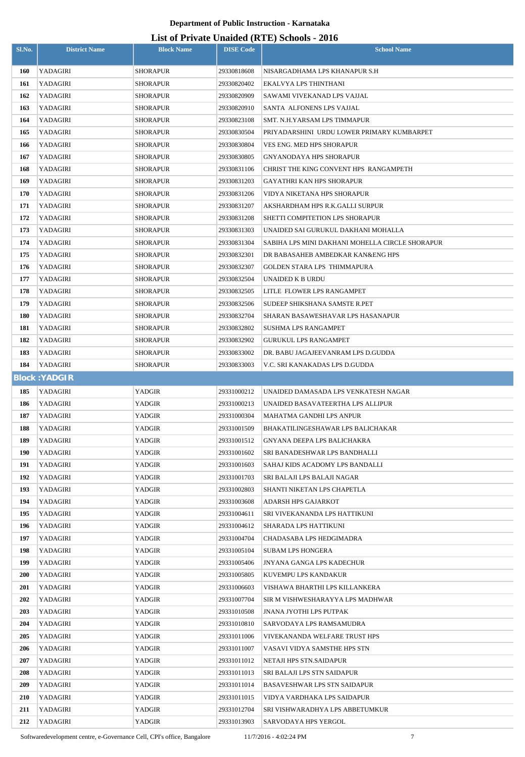| Sl.No.     | <b>District Name</b> | <b>Block Name</b> | <b>DISE Code</b> | $\frac{1}{2}$<br><b>School Name</b>             |
|------------|----------------------|-------------------|------------------|-------------------------------------------------|
| 160        | YADAGIRI             | <b>SHORAPUR</b>   | 29330818608      | NISARGADHAMA LPS KHANAPUR S.H                   |
| 161        | YADAGIRI             | <b>SHORAPUR</b>   | 29330820402      | EKALVYA LPS THINTHANI                           |
| 162        | YADAGIRI             | <b>SHORAPUR</b>   | 29330820909      | SAWAMI VIVEKANAD LPS VAJJAL                     |
| 163        | YADAGIRI             | <b>SHORAPUR</b>   | 29330820910      | SANTA ALFONENS LPS VAJJAL                       |
| 164        | YADAGIRI             | <b>SHORAPUR</b>   | 29330823108      | SMT. N.H.YARSAM LPS TIMMAPUR                    |
| 165        | YADAGIRI             | <b>SHORAPUR</b>   | 29330830504      | PRIYADARSHINI URDU LOWER PRIMARY KUMBARPET      |
| 166        | YADAGIRI             | <b>SHORAPUR</b>   | 29330830804      | VES ENG. MED HPS SHORAPUR                       |
| 167        | YADAGIRI             | <b>SHORAPUR</b>   | 29330830805      | GNYANODAYA HPS SHORAPUR                         |
| 168        | YADAGIRI             | <b>SHORAPUR</b>   | 29330831106      | CHRIST THE KING CONVENT HPS RANGAMPETH          |
| 169        | YADAGIRI             | <b>SHORAPUR</b>   | 29330831203      | GAYATHRI KAN HPS SHORAPUR                       |
| 170        | YADAGIRI             | <b>SHORAPUR</b>   | 29330831206      | VIDYA NIKETANA HPS SHORAPUR                     |
| 171        | YADAGIRI             | <b>SHORAPUR</b>   | 29330831207      | AKSHARDHAM HPS R.K.GALLI SURPUR                 |
| 172        | YADAGIRI             | <b>SHORAPUR</b>   | 29330831208      | SHETTI COMPITETION LPS SHORAPUR                 |
| 173        | YADAGIRI             | <b>SHORAPUR</b>   | 29330831303      | UNAIDED SAI GURUKUL DAKHANI MOHALLA             |
| 174        | YADAGIRI             | <b>SHORAPUR</b>   | 29330831304      | SABIHA LPS MINI DAKHANI MOHELLA CIRCLE SHORAPUR |
| 175        | YADAGIRI             | <b>SHORAPUR</b>   | 29330832301      | DR BABASAHEB AMBEDKAR KANŊ HPS                  |
| 176        | YADAGIRI             | <b>SHORAPUR</b>   | 29330832307      | GOLDEN STARA LPS THIMMAPURA                     |
| 177        | YADAGIRI             | <b>SHORAPUR</b>   | 29330832504      | UNAIDED K B URDU                                |
| 178        | YADAGIRI             | <b>SHORAPUR</b>   | 29330832505      | LITLE FLOWER LPS RANGAMPET                      |
| 179        | YADAGIRI             | <b>SHORAPUR</b>   | 29330832506      | SUDEEP SHIKSHANA SAMSTE R.PET                   |
| 180        | YADAGIRI             | <b>SHORAPUR</b>   | 29330832704      | SHARAN BASAWESHAVAR LPS HASANAPUR               |
| 181        | YADAGIRI             | <b>SHORAPUR</b>   | 29330832802      | SUSHMA LPS RANGAMPET                            |
| 182        | YADAGIRI             | <b>SHORAPUR</b>   | 29330832902      | <b>GURUKUL LPS RANGAMPET</b>                    |
| 183        | YADAGIRI             | <b>SHORAPUR</b>   | 29330833002      | DR. BABU JAGAJEEVANRAM LPS D.GUDDA              |
| 184        | YADAGIRI             | <b>SHORAPUR</b>   | 29330833003      | V.C. SRI KANAKADAS LPS D.GUDDA                  |
|            | <b>Block: YADGIR</b> |                   |                  |                                                 |
| 185        | YADAGIRI             | <b>YADGIR</b>     | 29331000212      | UNAIDED DAMASADA LPS VENKATESH NAGAR            |
| 186        | YADAGIRI             | YADGIR            | 29331000213      | UNAIDED BASAVATEERTHA LPS ALLIPUR               |
| 187        | YADAGIRI             | YADGIR            | 29331000304      | MAHATMA GANDHI LPS ANPUR                        |
| 188        | YADAGIRI             | YADGIR            | 29331001509      | BHAKATILINGESHAWAR LPS BALICHAKAR               |
| 189        | YADAGIRI             | YADGIR            | 29331001512      | <b>GNYANA DEEPA LPS BALICHAKRA</b>              |
| 190        | YADAGIRI             | YADGIR            | 29331001602      | SRI BANADESHWAR LPS BANDHALLI                   |
| 191        | YADAGIRI             | YADGIR            | 29331001603      | SAHAJ KIDS ACADOMY LPS BANDALLI                 |
| 192        | YADAGIRI             | YADGIR            | 29331001703      | SRI BALAJI LPS BALAJI NAGAR                     |
| 193        | YADAGIRI             | YADGIR            | 29331002803      | SHANTI NIKETAN LPS CHAPETLA                     |
| 194        | YADAGIRI             | YADGIR            | 29331003608      | ADARSH HPS GAJARKOT                             |
| 195        | YADAGIRI             | YADGIR            | 29331004611      | SRI VIVEKANANDA LPS HATTIKUNI                   |
| 196        | YADAGIRI             | YADGIR            | 29331004612      | SHARADA LPS HATTIKUNI                           |
| 197        | YADAGIRI             | YADGIR            | 29331004704      | CHADASABA LPS HEDGIMADRA                        |
| 198        | YADAGIRI             | YADGIR            | 29331005104      | <b>SUBAM LPS HONGERA</b>                        |
| 199        | YADAGIRI             | YADGIR            | 29331005406      | <b>JNYANA GANGA LPS KADECHUR</b>                |
| <b>200</b> | YADAGIRI             | YADGIR            | 29331005805      | KUVEMPU LPS KANDAKUR                            |
| <b>201</b> | YADAGIRI             | YADGIR            | 29331006603      | VISHAWA BHARTHI LPS KILLANKERA                  |
| 202        | YADAGIRI             | YADGIR            | 29331007704      | SIR M VISHWESHARAYYA LPS MADHWAR                |
| 203        | YADAGIRI             | YADGIR            | 29331010508      | <b>JNANA JYOTHI LPS PUTPAK</b>                  |
| 204        | YADAGIRI             | YADGIR            | 29331010810      | SARVODAYA LPS RAMSAMUDRA                        |
| 205        | YADAGIRI             | YADGIR            | 29331011006      | VIVEKANANDA WELFARE TRUST HPS                   |
| 206        | YADAGIRI             | YADGIR            | 29331011007      | VASAVI VIDYA SAMSTHE HPS STN                    |
| 207        | YADAGIRI             | YADGIR            | 29331011012      | NETAJI HPS STN.SAIDAPUR                         |
| 208        | YADAGIRI             | YADGIR            | 29331011013      | SRI BALAJI LPS STN SAIDAPUR                     |
| 209        | YADAGIRI             | YADGIR            | 29331011014      | BASAVESHWAR LPS STN SAIDAPUR                    |
| 210        | YADAGIRI             | YADGIR            | 29331011015      | VIDYA VARDHAKA LPS SAIDAPUR                     |
| 211        | YADAGIRI             | YADGIR            | 29331012704      | SRI VISHWARADHYA LPS ABBETUMKUR                 |
| 212        | <b>YADAGIRI</b>      | YADGIR            | 29331013903      | SARVODAYA HPS YERGOL                            |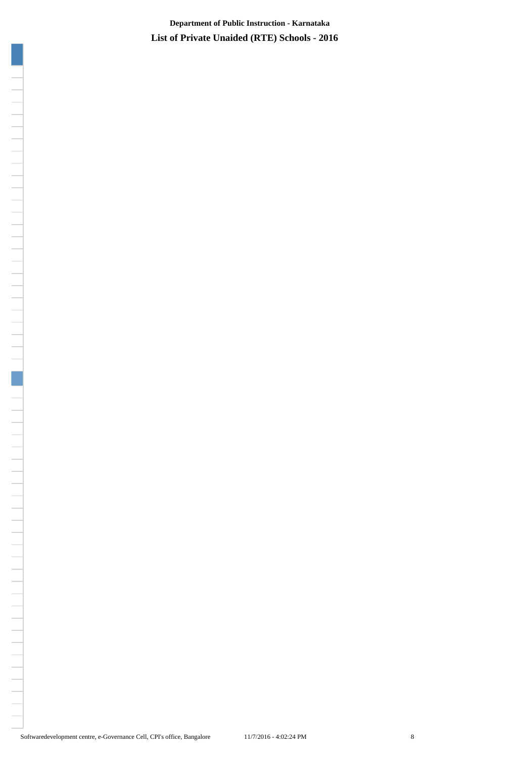**List of Private Unaided (RTE) Schools - 2016 Department of Public Instruction - Karnataka**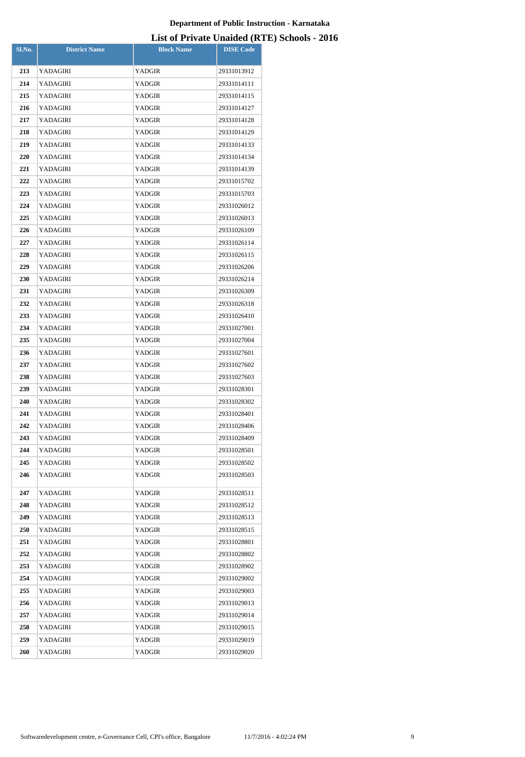| Sl.No.     | <b>District Name</b> | <b>Block Name</b> | <b>DISE Code</b> |
|------------|----------------------|-------------------|------------------|
| 213        | YADAGIRI             | YADGIR            | 29331013912      |
| 214        | YADAGIRI             | YADGIR            | 29331014111      |
| 215        | YADAGIRI             | YADGIR            | 29331014115      |
| 216        | YADAGIRI             | YADGIR            | 29331014127      |
| 217        | YADAGIRI             | YADGIR            | 29331014128      |
| 218        | YADAGIRI             | YADGIR            | 29331014129      |
| 219        | YADAGIRI             | YADGIR            | 29331014133      |
| 220        | YADAGIRI             | YADGIR            | 29331014134      |
| 221        | YADAGIRI             | YADGIR            | 29331014139      |
| 222        | YADAGIRI             | YADGIR            | 29331015702      |
| 223        | YADAGIRI             | YADGIR            | 29331015703      |
| 224        | YADAGIRI             | YADGIR            | 29331026012      |
| 225        | YADAGIRI             | YADGIR            | 29331026013      |
| 226        | YADAGIRI             | YADGIR            | 29331026109      |
| 227        | YADAGIRI             | YADGIR            | 29331026114      |
| 228        | YADAGIRI             | YADGIR            | 29331026115      |
| 229        | YADAGIRI             | YADGIR            | 29331026206      |
| 230        | YADAGIRI             | YADGIR            | 29331026214      |
| 231        | YADAGIRI             | YADGIR            | 29331026309      |
| 232        | YADAGIRI             | YADGIR            | 29331026318      |
| 233        | YADAGIRI             | YADGIR            | 29331026410      |
| 234        | YADAGIRI             | YADGIR            | 29331027001      |
| 235        | YADAGIRI             | YADGIR            | 29331027004      |
| 236        | YADAGIRI             | YADGIR            | 29331027601      |
| 237        | YADAGIRI             | YADGIR            | 29331027602      |
| 238        | YADAGIRI             | YADGIR            | 29331027603      |
| 239        | YADAGIRI             | YADGIR            | 29331028301      |
| 240        | YADAGIRI             | YADGIR            | 29331028302      |
| 241        | YADAGIRI             | YADGIR            | 29331028401      |
| 242        | YADAGIRI             | YADGIR            | 29331028406      |
| 243        | YADAGIRI             | YADGIR            | 29331028409      |
| 244        | YADAGIRI             | YADGIR            | 29331028501      |
| 245        | YADAGIRI             | YADGIR            | 29331028502      |
| 246        | <b>YADAGIRI</b>      | YADGIR            | 29331028503      |
| 247        | <b>YADAGIRI</b>      | YADGIR            | 29331028511      |
| 248        | YADAGIRI             | YADGIR            | 29331028512      |
| 249        | YADAGIRI             | YADGIR            | 29331028513      |
| <b>250</b> | YADAGIRI             | YADGIR            | 29331028515      |
| 251        | YADAGIRI             | YADGIR            | 29331028801      |
| 252        | YADAGIRI             | YADGIR            | 29331028802      |
| 253        | YADAGIRI             | YADGIR            | 29331028902      |
| 254        | YADAGIRI             | YADGIR            | 29331029002      |
| 255        | YADAGIRI             | YADGIR            | 29331029003      |
| 256        | YADAGIRI             | YADGIR            | 29331029013      |
| 257        | YADAGIRI             | YADGIR            | 29331029014      |
| 258        | YADAGIRI             | YADGIR            | 29331029015      |
| 259        | YADAGIRI             | YADGIR            | 29331029019      |
| 260        | YADAGIRI             | YADGIR            | 29331029020      |